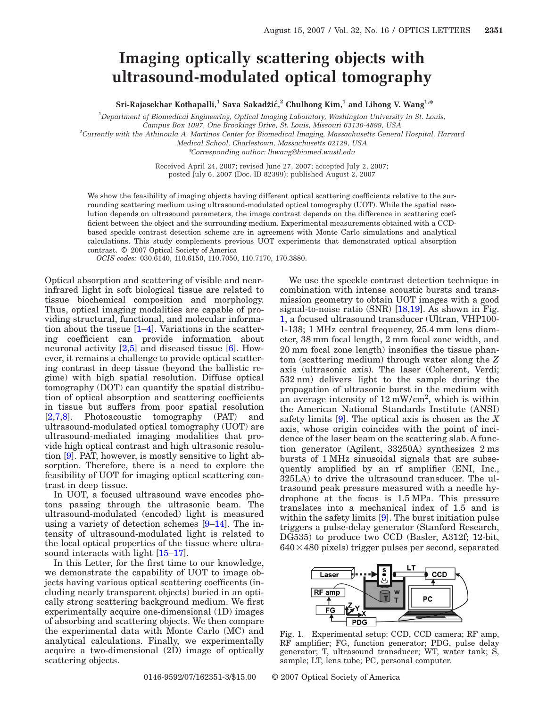## **Imaging optically scattering objects with ultrasound-modulated optical tomography**

 $\text{{\bf Sri-Rajasekhar Kothapalli},}^1 \text{{\bf Schradzlic},}^2 \text{{\bf Chulhong Kim},}^1 \text{{\bf and Linong V. Wang}^{1,*}}$ 

1 *Department of Biomedical Engineering, Optical Imaging Laboratory, Washington University in St. Louis,*

*Campus Box 1097, One Brookings Drive, St. Louis, Missouri 63130-4899, USA*

2 *Currently with the Athinoula A. Martinos Center for Biomedical Imaging, Massachusetts General Hospital, Harvard*

*Medical School, Charlestown, Massachusetts 02129, USA*

\**Corresponding author: lhwang@biomed.wustl.edu*

Received April 24, 2007; revised June 27, 2007; accepted July 2, 2007; posted July 6, 2007 (Doc. ID 82399); published August 2, 2007

We show the feasibility of imaging objects having different optical scattering coefficients relative to the surrounding scattering medium using ultrasound-modulated optical tomography (UOT). While the spatial resolution depends on ultrasound parameters, the image contrast depends on the difference in scattering coefficient between the object and the surrounding medium. Experimental measurements obtained with a CCDbased speckle contrast detection scheme are in agreement with Monte Carlo simulations and analytical calculations. This study complements previous UOT experiments that demonstrated optical absorption contrast. © 2007 Optical Society of America

*OCIS codes:* 030.6140, 110.6150, 110.7050, 110.7170, 170.3880.

Optical absorption and scattering of visible and nearinfrared light in soft biological tissue are related to tissue biochemical composition and morphology. Thus, optical imaging modalities are capable of providing structural, functional, and molecular information about the tissue [\[1](#page-2-0)[–4\]](#page-2-1). Variations in the scattering coefficient can provide information about neuronal activity [\[2](#page-2-2)[,5\]](#page-2-3) and diseased tissue [\[6\]](#page-2-0). However, it remains a challenge to provide optical scattering contrast in deep tissue (beyond the ballistic regime) with high spatial resolution. Diffuse optical tomography (DOT) can quantify the spatial distribution of optical absorption and scattering coefficients in tissue but suffers from poor spatial resolution [\[2,](#page-2-2)[7](#page-2-4)[,8\]](#page-2-5). Photoacoustic tomography (PAT) and ultrasound-modulated optical tomography (UOT) are ultrasound-mediated imaging modalities that provide high optical contrast and high ultrasonic resolution [\[9\]](#page-2-6). PAT, however, is mostly sensitive to light absorption. Therefore, there is a need to explore the feasibility of UOT for imaging optical scattering contrast in deep tissue.

In UOT, a focused ultrasound wave encodes photons passing through the ultrasonic beam. The ultrasound-modulated (encoded) light is measured using a variety of detection schemes [\[9](#page-2-6)[–14\]](#page-2-7). The intensity of ultrasound-modulated light is related to the local optical properties of the tissue where ultrasound interacts with light [\[15](#page-2-8)[–17\]](#page-2-9).

In this Letter, for the first time to our knowledge, we demonstrate the capability of UOT to image objects having various optical scattering coefficents (including nearly transparent objects) buried in an optically strong scattering background medium. We first experimentally acquire one-dimensional (1D) images of absorbing and scattering objects. We then compare the experimental data with Monte Carlo (MC) and analytical calculations. Finally, we experimentally acquire a two-dimensional (2D) image of optically scattering objects.

We use the speckle contrast detection technique in combination with intense acoustic bursts and transmission geometry to obtain UOT images with a good signal-to-noise ratio (SNR) [\[18](#page-2-10)[,19\]](#page-2-11). As shown in Fig. [1,](#page-0-0) a focused ultrasound transducer (Ultran, VHP100- 1-138; 1 MHz central frequency, 25.4 mm lens diameter, 38 mm focal length, 2 mm focal zone width, and 20 mm focal zone length) insonifies the tissue phantom (scattering medium) through water along the *Z* axis (ultrasonic axis). The laser (Coherent, Verdi; 532 nm) delivers light to the sample during the propagation of ultrasonic burst in the medium with an average intensity of  $12 \text{ mW/cm}^2$ , which is within the American National Standards Institute (ANSI) safety limits [\[9\]](#page-2-6). The optical axis is chosen as the *X* axis, whose origin coincides with the point of incidence of the laser beam on the scattering slab. A function generator (Agilent, 33250A) synthesizes 2 ms bursts of 1 MHz sinusoidal signals that are subsequently amplified by an rf amplifier (ENI, Inc., 325LA) to drive the ultrasound transducer. The ultrasound peak pressure measured with a needle hydrophone at the focus is 1.5 MPa. This pressure translates into a mechanical index of 1.5 and is within the safety limits [\[9\]](#page-2-6). The burst initiation pulse triggers a pulse-delay generator (Stanford Research, DG535) to produce two CCD (Basler, A312f; 12-bit,  $640\times480$  pixels) trigger pulses per second, separated

<span id="page-0-0"></span>

Fig. 1. Experimental setup: CCD, CCD camera; RF amp, RF amplifier; FG, function generator; PDG, pulse delay generator; T, ultrasound transducer; WT, water tank; S, sample; LT, lens tube; PC, personal computer.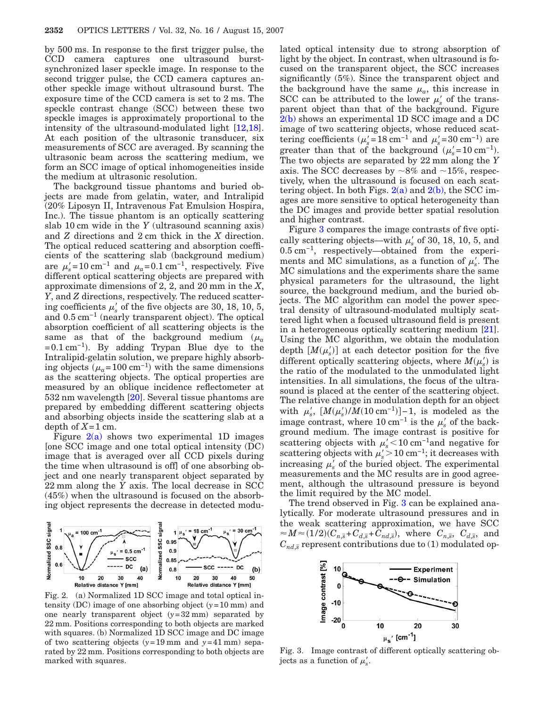by 500 ms. In response to the first trigger pulse, the CCD camera captures one ultrasound burstsynchronized laser speckle image. In response to the second trigger pulse, the CCD camera captures another speckle image without ultrasound burst. The exposure time of the CCD camera is set to 2 ms. The speckle contrast change (SCC) between these two speckle images is approximately proportional to the intensity of the ultrasound-modulated light [\[12,](#page-2-12)[18\]](#page-2-10). At each position of the ultrasonic transducer, six measurements of SCC are averaged. By scanning the ultrasonic beam across the scattering medium, we form an SCC image of optical inhomogeneities inside the medium at ultrasonic resolution.

The background tissue phantoms and buried objects are made from gelatin, water, and Intralipid (20% Liposyn II, Intravenous Fat Emulsion Hospira, Inc.). The tissue phantom is an optically scattering slab 10 cm wide in the *Y* (ultrasound scanning axis) and *Z* directions and 2 cm thick in the *X* direction. The optical reduced scattering and absorption coefficients of the scattering slab (background medium) are  $\mu_s'$ =10 cm<sup>-1</sup> and  $\mu_a$ =0.1 cm<sup>-1</sup>, respectively. Five different optical scattering objects are prepared with approximate dimensions of 2, 2, and 20 mm in the *X*, *Y*, and *Z* directions, respectively. The reduced scattering coefficients  $\mu_s'$  of the five objects are 30, 18, 10, 5, and 0.5 cm−1 (nearly transparent object). The optical absorption coefficient of all scattering objects is the same as that of the background medium  $(\mu_a)$  $=0.1 \text{ cm}^{-1}$ ). By adding Trypan Blue dye to the Intralipid-gelatin solution, we prepare highly absorbing objects  $(\mu_a = 100 \text{ cm}^{-1})$  with the same dimensions as the scattering objects. The optical properties are measured by an oblique incidence reflectometer at 532 nm wavelength [\[20\]](#page-2-13). Several tissue phantoms are prepared by embedding different scattering objects and absorbing objects inside the scattering slab at a depth of  $X=1$  cm.

Figure  $2(a)$  shows two experimental 1D images [one SCC image and one total optical intensity (DC) image that is averaged over all CCD pixels during the time when ultrasound is off] of one absorbing object and one nearly transparent object separated by 22 mm along the *Y* axis. The local decrease in SCC (45%) when the ultrasound is focused on the absorbing object represents the decrease in detected modu-

<span id="page-1-0"></span>

Fig. 2. (a) Normalized 1D SCC image and total optical intensity (DC) image of one absorbing object  $(y=10 \text{ mm})$  and one nearly transparent object  $(y=32 \text{ mm})$  separated by 22 mm. Positions corresponding to both objects are marked with squares. (b) Normalized 1D SCC image and DC image of two scattering objects  $(y=19 \text{ mm and } y=41 \text{ mm})$  separated by 22 mm. Positions corresponding to both objects are marked with squares.

lated optical intensity due to strong absorption of light by the object. In contrast, when ultrasound is focused on the transparent object, the SCC increases significantly (5%). Since the transparent object and the background have the same  $\mu_a$ , this increase in SCC can be attributed to the lower  $\mu_s'$  of the transparent object than that of the background. Figure [2\(b\)](#page-1-0) shows an experimental 1D SCC image and a DC image of two scattering objects, whose reduced scattering coefficients ( $\mu_s'$ =18 cm<sup>-1</sup> and  $\mu_s'$ =30 cm<sup>-1</sup>) are greater than that of the background  $(\mu_s' = 10 \text{ cm}^{-1})$ . The two objects are separated by 22 mm along the *Y* axis. The SCC decreases by  $\sim 8\%$  and  $\sim 15\%$ , respectively, when the ultrasound is focused on each scattering object. In both Figs.  $2(a)$  and  $2(b)$ , the SCC images are more sensitive to optical heterogeneity than the DC images and provide better spatial resolution and higher contrast.

Figure [3](#page-1-1) compares the image contrasts of five optically scattering objects—with  $\mu_s'$  of 30, 18, 10, 5, and 0.5 cm−1, respectively—obtained from the experiments and MC simulations, as a function of  $\mu_s'$ . The MC simulations and the experiments share the same physical parameters for the ultrasound, the light source, the background medium, and the buried objects. The MC algorithm can model the power spectral density of ultrasound-modulated multiply scattered light when a focused ultrasound field is present in a heterogeneous optically scattering medium [\[21\]](#page-2-14). Using the MC algorithm, we obtain the modulation depth  $[M(\mu'_s)]$  at each detector position for the five different optically scattering objects, where  $M(\mu_s)$  is the ratio of the modulated to the unmodulated light intensities. In all simulations, the focus of the ultrasound is placed at the center of the scattering object. The relative change in modulation depth for an object with  $\mu'_s$ ,  $[M(\mu'_s)/M(10 \text{ cm}^{-1})]-1$ , is modeled as the image contrast, where  $10 \text{ cm}^{-1}$  is the  $\mu_s'$  of the background medium. The image contrast is positive for scattering objects with  $\mu_s'$ <10 cm<sup>-1</sup>and negative for scattering objects with  $\mu_s' > 10 \text{ cm}^{-1}$ ; it decreases with increasing  $\mu'_{s}$  of the buried object. The experimental measurements and the MC results are in good agreement, although the ultrasound pressure is beyond the limit required by the MC model.

The trend observed in Fig. [3](#page-1-1) can be explained analytically. For moderate ultrasound pressures and in the weak scattering approximation, we have SCC  $\approx M \approx (1/2)(C_{n,\bar{s}} + C_{d,\bar{s}} + C_{nd,\bar{s}})$ , where  $C_{n,\bar{s}}$ ,  $C_{d,\bar{s}}$ , and  $C_{nd,\bar{s}}$  represent contributions due to (1) modulated op-

<span id="page-1-1"></span>

Fig. 3. Image contrast of different optically scattering objects as a function of  $\mu'_s$ .